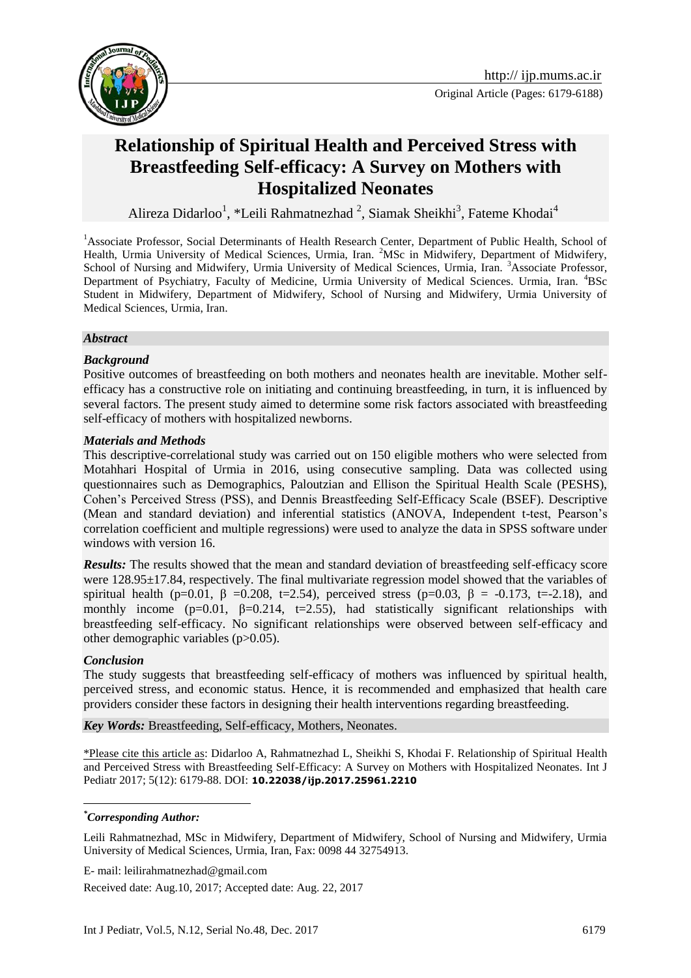

# **Relationship of Spiritual Health and Perceived Stress with Breastfeeding Self-efficacy: A Survey on Mothers with Hospitalized Neonates**

Alireza Didarloo<sup>1</sup>, \*Leili Rahmatnezhad<sup>2</sup>, Siamak Sheikhi<sup>3</sup>, Fateme Khodai<sup>4</sup>

<sup>1</sup>Associate Professor, Social Determinants of Health Research Center, Department of Public Health, School of Health, Urmia University of Medical Sciences, Urmia, Iran. <sup>2</sup>MSc in Midwifery, Department of Midwifery, School of Nursing and Midwifery, Urmia University of Medical Sciences, Urmia, Iran. <sup>3</sup>Associate Professor, Department of Psychiatry, Faculty of Medicine, Urmia University of Medical Sciences. Urmia, Iran. <sup>4</sup>BSc Student in Midwifery, Department of Midwifery, School of Nursing and Midwifery, Urmia University of Medical Sciences, Urmia, Iran.

#### *Abstract*

### *Background*

Positive outcomes of breastfeeding on both mothers and neonates health are inevitable. Mother selfefficacy has a constructive role on initiating and continuing breastfeeding, in turn, it is influenced by several factors. The present study aimed to determine some risk factors associated with breastfeeding self-efficacy of mothers with hospitalized newborns.

#### *Materials and Methods*

This descriptive-correlational study was carried out on 150 eligible mothers who were selected from Motahhari Hospital of Urmia in 2016, using consecutive sampling. Data was collected using questionnaires such as Demographics, Paloutzian and Ellison the Spiritual Health Scale (PESHS), Cohen's Perceived Stress (PSS), and Dennis Breastfeeding Self-Efficacy Scale (BSEF). Descriptive (Mean and standard deviation) and inferential statistics (ANOVA, Independent t-test, Pearson's correlation coefficient and multiple regressions) were used to analyze the data in SPSS software under windows with version 16.

*Results:* The results showed that the mean and standard deviation of breastfeeding self-efficacy score were 128.95±17.84, respectively. The final multivariate regression model showed that the variables of spiritual health (p=0.01,  $\beta$  =0.208, t=2.54), perceived stress (p=0.03,  $\beta$  = -0.173, t=-2.18), and monthly income ( $p=0.01$ ,  $\beta=0.214$ ,  $t=2.55$ ), had statistically significant relationships with breastfeeding self-efficacy. No significant relationships were observed between self-efficacy and other demographic variables (p>0.05).

#### *Conclusion*

<u>.</u>

The study suggests that breastfeeding self-efficacy of mothers was influenced by spiritual health, perceived stress, and economic status. Hence, it is recommended and emphasized that health care providers consider these factors in designing their health interventions regarding breastfeeding.

*Key Words:* Breastfeeding, Self-efficacy, Mothers, Neonates.

\*Please cite this article as: Didarloo A, Rahmatnezhad L, Sheikhi S, Khodai F. Relationship of Spiritual Health and Perceived Stress with Breastfeeding Self-Efficacy: A Survey on Mothers with Hospitalized Neonates. Int J Pediatr 2017; 5(12): 6179-88. DOI: **10.22038/ijp.2017.25961.2210**

#### *\*Corresponding Author:*

Leili Rahmatnezhad, MSc in Midwifery, Department of Midwifery, School of Nursing and Midwifery, Urmia University of Medical Sciences, Urmia, Iran, Fax: 0098 44 32754913.

E- mail: leilirahmatnezhad@gmail.com

Received date: Aug.10, 2017; Accepted date: Aug. 22, 2017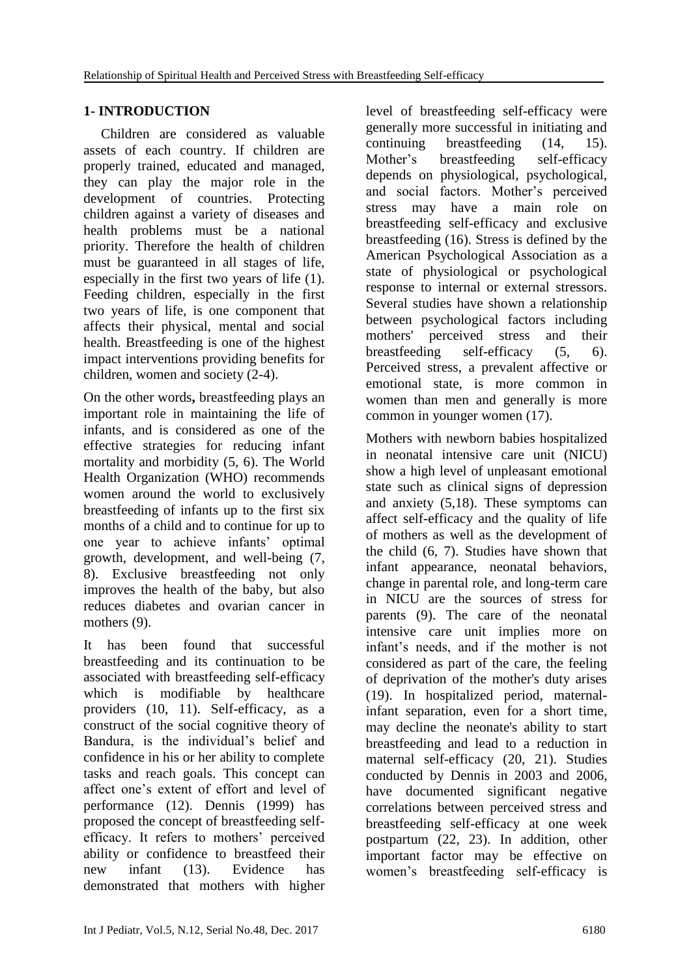## **1- INTRODUCTION**

 Children are considered as valuable assets of each country. If children are properly trained, educated and managed, they can play the major role in the development of countries. Protecting children against a variety of diseases and health problems must be a national priority. Therefore the health of children must be guaranteed in all stages of life, especially in the first two years of life (1). Feeding children, especially in the first two years of life, is one component that affects their physical, mental and social health. Breastfeeding is one of the highest impact interventions providing benefits for children, women and society (2-4).

On the other words**,** breastfeeding plays an important role in maintaining the life of infants, and is considered as one of the effective strategies for reducing infant mortality and morbidity (5, 6). The World Health Organization (WHO) recommends women around the world to exclusively breastfeeding of infants up to the first six months of a child and to continue for up to one year to achieve infants' optimal growth, development, and well-being (7, 8). Exclusive breastfeeding not only improves the health of the baby, but also reduces diabetes and ovarian cancer in mothers  $(9)$ .

It has been found that successful breastfeeding and its continuation to be associated with breastfeeding self-efficacy which is modifiable by healthcare providers (10, 11). Self-efficacy, as a construct of the social cognitive theory of Bandura, is the individual's belief and confidence in his or her ability to complete tasks and reach goals. This concept can affect one's extent of effort and level of performance (12). Dennis (1999) has proposed the concept of breastfeeding selfefficacy. It refers to mothers' perceived ability or confidence to breastfeed their new infant (13). Evidence has demonstrated that mothers with higher level of breastfeeding self-efficacy were generally more successful in initiating and continuing breastfeeding (14, 15). Mother's breastfeeding self-efficacy depends on physiological, psychological, and social factors. Mother's perceived stress may have a main role on breastfeeding self-efficacy and exclusive breastfeeding (16). Stress is defined by the American Psychological Association as a state of physiological or psychological response to internal or external stressors. Several studies have shown a relationship between psychological factors including mothers' perceived stress and their breastfeeding self-efficacy (5, 6). Perceived stress, a prevalent affective or emotional state, is more common in women than men and generally is more common in younger women (17).

Mothers with newborn babies hospitalized in neonatal intensive care unit (NICU) show a high level of unpleasant emotional state such as clinical signs of depression and anxiety (5,18). These symptoms can affect self-efficacy and the quality of life of mothers as well as the development of the child (6, 7). Studies have shown that infant appearance, neonatal behaviors, change in parental role, and long-term care in NICU are the sources of stress for parents (9). The care of the neonatal intensive care unit implies more on infant's needs, and if the mother is not considered as part of the care, the feeling of deprivation of the mother's duty arises (19). In hospitalized period, maternalinfant separation, even for a short time, may decline the neonate's ability to start breastfeeding and lead to a reduction in maternal self-efficacy (20, 21). Studies conducted by Dennis in 2003 and 2006, have documented significant negative correlations between perceived stress and breastfeeding self-efficacy at one week postpartum (22, 23). In addition, other important factor may be effective on women's breastfeeding self-efficacy is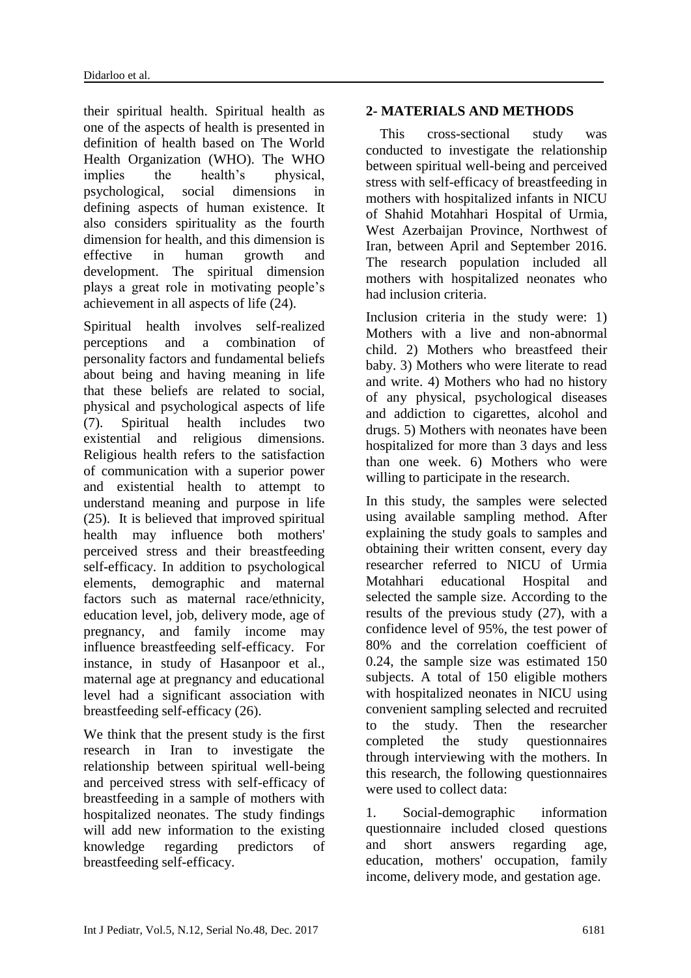their spiritual health. Spiritual health as one of the aspects of health is presented in definition of health based on The World Health Organization (WHO). The WHO implies the health's physical, psychological, social dimensions in defining aspects of human existence. It also considers spirituality as the fourth dimension for health, and this dimension is effective in human growth and development. The spiritual dimension plays a great role in motivating people's achievement in all aspects of life (24).

Spiritual health involves self-realized perceptions and a combination of personality factors and fundamental beliefs about being and having meaning in life that these beliefs are related to social, physical and psychological aspects of life (7). Spiritual health includes two existential and religious dimensions. Religious health refers to the satisfaction of communication with a superior power and existential health to attempt to understand meaning and purpose in life (25). It is believed that improved spiritual health may influence both mothers' perceived stress and their breastfeeding self-efficacy. In addition to psychological elements, demographic and maternal factors such as maternal race/ethnicity, education level, job, delivery mode, age of pregnancy, and family income may influence breastfeeding self-efficacy. For instance, in study of Hasanpoor et al., maternal age at pregnancy and educational level had a significant association with breastfeeding self-efficacy (26).

We think that the present study is the first research in Iran to investigate the relationship between spiritual well-being and perceived stress with self-efficacy of breastfeeding in a sample of mothers with hospitalized neonates. The study findings will add new information to the existing knowledge regarding predictors of breastfeeding self-efficacy.

## **2- MATERIALS AND METHODS**

 This cross-sectional study was conducted to investigate the relationship between spiritual well-being and perceived stress with self-efficacy of breastfeeding in mothers with hospitalized infants in NICU of Shahid Motahhari Hospital of Urmia, West Azerbaijan Province, Northwest of Iran, between April and September 2016. The research population included all mothers with hospitalized neonates who had inclusion criteria.

Inclusion criteria in the study were: 1) Mothers with a live and non-abnormal child. 2) Mothers who breastfeed their baby. 3) Mothers who were literate to read and write. 4) Mothers who had no history of any physical, psychological diseases and addiction to cigarettes, alcohol and drugs. 5) Mothers with neonates have been hospitalized for more than 3 days and less than one week. 6) Mothers who were willing to participate in the research.

In this study, the samples were selected using available sampling method. After explaining the study goals to samples and obtaining their written consent, every day researcher referred to NICU of Urmia Motahhari educational Hospital and selected the sample size. According to the results of the previous study (27), with a confidence level of 95%, the test power of 80% and the correlation coefficient of 0.24, the sample size was estimated 150 subjects. A total of 150 eligible mothers with hospitalized neonates in NICU using convenient sampling selected and recruited to the study. Then the researcher completed the study questionnaires through interviewing with the mothers. In this research, the following questionnaires were used to collect data:

1. Social-demographic information questionnaire included closed questions and short answers regarding age, education, mothers' occupation, family income, delivery mode, and gestation age.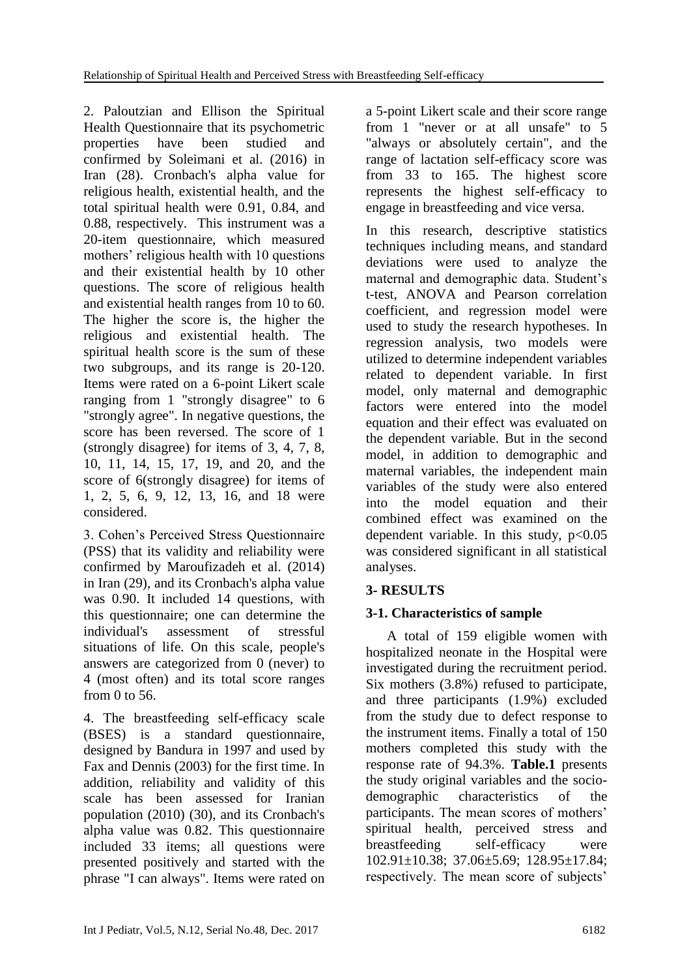2. Paloutzian and Ellison the Spiritual Health Questionnaire that its psychometric properties have been studied and confirmed by Soleimani et al. (2016) in Iran (28). Cronbach's alpha value for religious health, existential health, and the total spiritual health were 0.91, 0.84, and 0.88, respectively. This instrument was a 20-item questionnaire, which measured mothers' religious health with 10 questions and their existential health by 10 other questions. The score of religious health and existential health ranges from 10 to 60. The higher the score is, the higher the religious and existential health. The spiritual health score is the sum of these two subgroups, and its range is 20-120. Items were rated on a 6-point Likert scale ranging from 1 "strongly disagree" to 6 "strongly agree". In negative questions, the score has been reversed. The score of 1 (strongly disagree) for items of 3, 4, 7, 8, 10, 11, 14, 15, 17, 19, and 20, and the score of 6(strongly disagree) for items of 1, 2, 5, 6, 9, 12, 13, 16, and 18 were considered.

3. Cohen's Perceived Stress Questionnaire (PSS) that its validity and reliability were confirmed by Maroufizadeh et al. (2014) in Iran (29), and its Cronbach's alpha value was 0.90. It included 14 questions, with this questionnaire; one can determine the individual's assessment of stressful situations of life. On this scale, people's answers are categorized from 0 (never) to 4 (most often) and its total score ranges from 0 to 56.

4. The breastfeeding self-efficacy scale (BSES) is a standard questionnaire, designed by Bandura in 1997 and used by Fax and Dennis (2003) for the first time. In addition, reliability and validity of this scale has been assessed for Iranian population (2010) (30), and its Cronbach's alpha value was 0.82. This questionnaire included 33 items; all questions were presented positively and started with the phrase "I can always". Items were rated on a 5-point Likert scale and their score range from 1 "never or at all unsafe" to 5 "always or absolutely certain", and the range of lactation self-efficacy score was from 33 to 165. The highest score represents the highest self-efficacy to engage in breastfeeding and vice versa.

In this research, descriptive statistics techniques including means, and standard deviations were used to analyze the maternal and demographic data. Student's t-test, ANOVA and Pearson correlation coefficient, and regression model were used to study the research hypotheses. In regression analysis, two models were utilized to determine independent variables related to dependent variable. In first model, only maternal and demographic factors were entered into the model equation and their effect was evaluated on the dependent variable. But in the second model, in addition to demographic and maternal variables, the independent main variables of the study were also entered into the model equation and their combined effect was examined on the dependent variable. In this study,  $p<0.05$ was considered significant in all statistical analyses.

## **3- RESULTS**

## **3-1. Characteristics of sample**

 A total of 159 eligible women with hospitalized neonate in the Hospital were investigated during the recruitment period. Six mothers (3.8%) refused to participate, and three participants (1.9%) excluded from the study due to defect response to the instrument items. Finally a total of 150 mothers completed this study with the response rate of 94.3%. **Table.1** presents the study original variables and the sociodemographic characteristics of the participants. The mean scores of mothers' spiritual health, perceived stress and breastfeeding self-efficacy were 102.91±10.38; 37.06±5.69; 128.95±17.84; respectively. The mean score of subjects'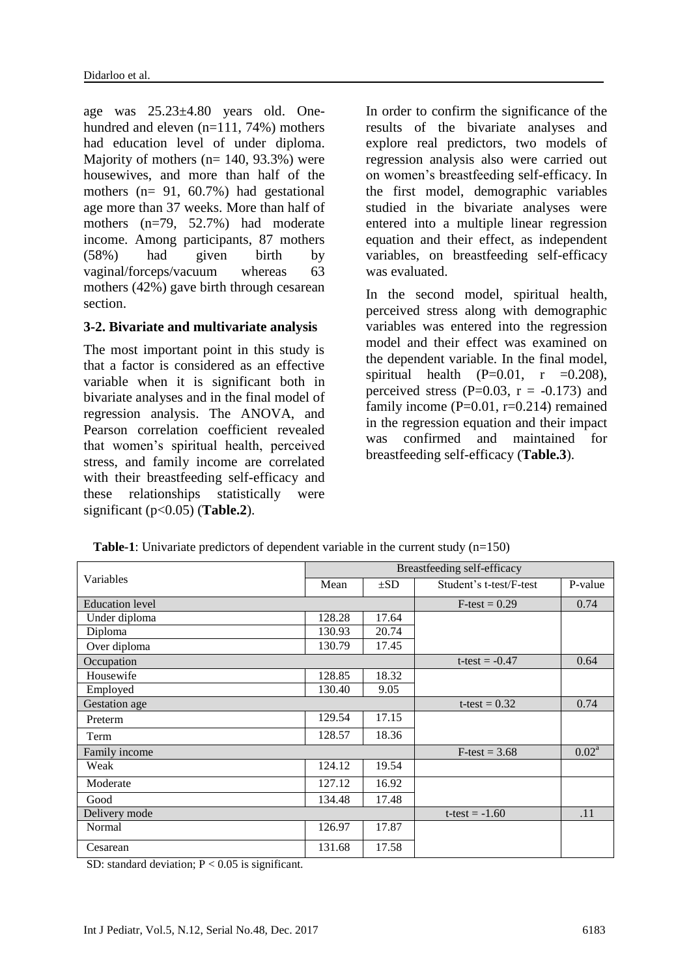age was 25.23±4.80 years old. Onehundred and eleven (n=111, 74%) mothers had education level of under diploma. Majority of mothers  $(n= 140, 93.3%)$  were housewives, and more than half of the mothers (n= 91, 60.7%) had gestational age more than 37 weeks. More than half of mothers (n=79, 52.7%) had moderate income. Among participants, 87 mothers (58%) had given birth by vaginal/forceps/vacuum whereas 63 mothers (42%) gave birth through cesarean section.

#### **3-2. Bivariate and multivariate analysis**

The most important point in this study is that a factor is considered as an effective variable when it is significant both in bivariate analyses and in the final model of regression analysis. The ANOVA, and Pearson correlation coefficient revealed that women's spiritual health, perceived stress, and family income are correlated with their breastfeeding self-efficacy and these relationships statistically were significant (p<0.05) (**Table.2**).

In order to confirm the significance of the results of the bivariate analyses and explore real predictors, two models of regression analysis also were carried out on women's breastfeeding self-efficacy. In the first model, demographic variables studied in the bivariate analyses were entered into a multiple linear regression equation and their effect, as independent variables, on breastfeeding self-efficacy was evaluated.

In the second model, spiritual health, perceived stress along with demographic variables was entered into the regression model and their effect was examined on the dependent variable. In the final model, spiritual health  $(P=0.01, r = 0.208)$ , perceived stress  $(P=0.03, r = -0.173)$  and family income  $(P=0.01, r=0.214)$  remained in the regression equation and their impact was confirmed and maintained for breastfeeding self-efficacy (**Table.3**).

|                        | Breastfeeding self-efficacy |       |                         |          |  |
|------------------------|-----------------------------|-------|-------------------------|----------|--|
| Variables              | Mean<br>$\pm SD$            |       | Student's t-test/F-test | P-value  |  |
| <b>Education</b> level |                             |       | $F-test = 0.29$         | 0.74     |  |
| Under diploma          | 128.28                      | 17.64 |                         |          |  |
| Diploma                | 130.93                      | 20.74 |                         |          |  |
| Over diploma           | 130.79                      | 17.45 |                         |          |  |
| Occupation             |                             |       | $t-test = -0.47$        | 0.64     |  |
| Housewife              | 128.85                      | 18.32 |                         |          |  |
| Employed               | 130.40                      | 9.05  |                         |          |  |
| Gestation age          |                             |       | t-test = $0.32$         | 0.74     |  |
| Preterm                | 129.54                      | 17.15 |                         |          |  |
| Term                   | 128.57                      | 18.36 |                         |          |  |
| Family income          |                             |       | $F-test = 3.68$         | $0.02^a$ |  |
| Weak                   | 124.12                      | 19.54 |                         |          |  |
| Moderate               | 127.12                      | 16.92 |                         |          |  |
| Good                   | 134.48                      | 17.48 |                         |          |  |
| Delivery mode          |                             |       | $t-test = -1.60$        | .11      |  |
| Normal                 | 126.97                      | 17.87 |                         |          |  |
| Cesarean               | 131.68                      | 17.58 |                         |          |  |

**Table-1**: Univariate predictors of dependent variable in the current study (n=150)

SD: standard deviation;  $P < 0.05$  is significant.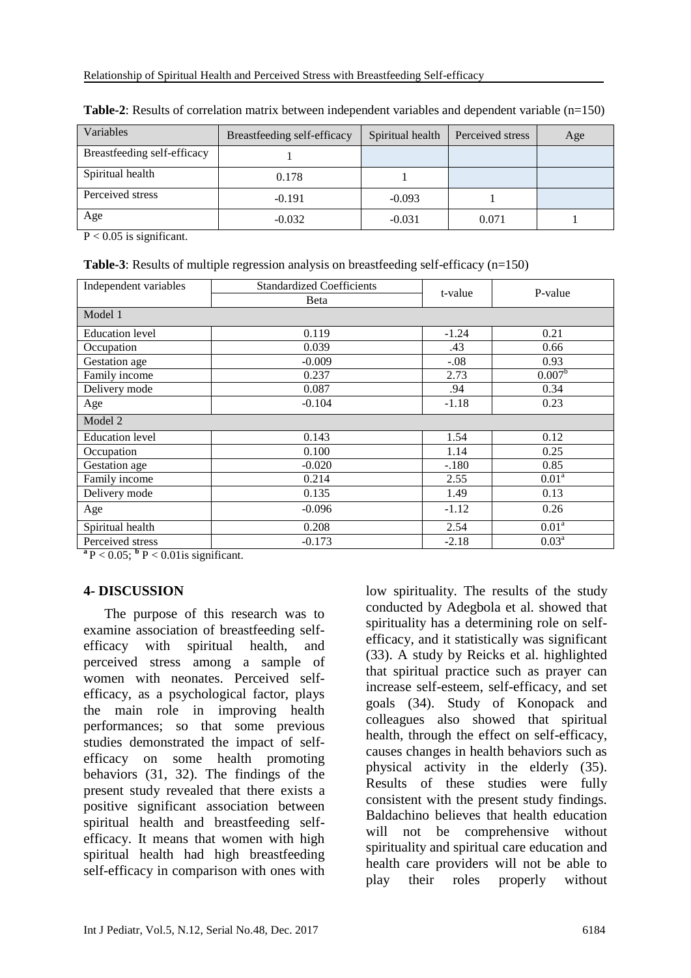| Variables                   | Breastfeeding self-efficacy | Spiritual health | Perceived stress | Age |
|-----------------------------|-----------------------------|------------------|------------------|-----|
| Breastfeeding self-efficacy |                             |                  |                  |     |
| Spiritual health            | 0.178                       |                  |                  |     |
| Perceived stress            | $-0.191$                    | $-0.093$         |                  |     |
| Age                         | $-0.032$                    | $-0.031$         | 0.071            |     |

**Table-2**: Results of correlation matrix between independent variables and dependent variable  $(n=150)$ 

 $P < 0.05$  is significant.

**Table-3**: Results of multiple regression analysis on breastfeeding self-efficacy (n=150)

| Independent variables  | <b>Standardized Coefficients</b> | t-value | P-value           |  |  |  |  |
|------------------------|----------------------------------|---------|-------------------|--|--|--|--|
|                        | <b>B</b> eta                     |         |                   |  |  |  |  |
| Model 1                |                                  |         |                   |  |  |  |  |
| <b>Education</b> level | 0.119                            | $-1.24$ | 0.21              |  |  |  |  |
| Occupation             | 0.039                            | .43     | 0.66              |  |  |  |  |
| Gestation age          | $-0.009$                         | $-.08$  | 0.93              |  |  |  |  |
| Family income          | 0.237                            | 2.73    | $0.007^{\rm b}$   |  |  |  |  |
| Delivery mode          | 0.087                            | .94     | 0.34              |  |  |  |  |
| Age                    | $-0.104$                         | $-1.18$ | 0.23              |  |  |  |  |
| Model 2                |                                  |         |                   |  |  |  |  |
| <b>Education</b> level | 0.143                            | 1.54    | 0.12              |  |  |  |  |
| Occupation             | 0.100                            | 1.14    | 0.25              |  |  |  |  |
| Gestation age          | $-0.020$                         | $-.180$ | 0.85              |  |  |  |  |
| Family income          | 0.214                            | 2.55    | 0.01 <sup>a</sup> |  |  |  |  |
| Delivery mode          | 0.135                            | 1.49    | 0.13              |  |  |  |  |
| Age                    | $-0.096$                         | $-1.12$ | 0.26              |  |  |  |  |
| Spiritual health       | 0.208                            | 2.54    | 0.01 <sup>a</sup> |  |  |  |  |
| Perceived stress       | $-0.173$                         | $-2.18$ | 0.03 <sup>a</sup> |  |  |  |  |

 $\mathbf{a} \, \mathbf{P} < 0.05$ ;  $\mathbf{b} \, \mathbf{P} < 0.01$  is significant.

## **4- DISCUSSION**

 The purpose of this research was to examine association of breastfeeding selfefficacy with spiritual health, and perceived stress among a sample of women with neonates. Perceived selfefficacy, as a psychological factor, plays the main role in improving health performances; so that some previous studies demonstrated the impact of selfefficacy on some health promoting behaviors (31, 32). The findings of the present study revealed that there exists a positive significant association between spiritual health and breastfeeding selfefficacy. It means that women with high spiritual health had high breastfeeding self-efficacy in comparison with ones with

low spirituality. The results of the study conducted by Adegbola et al. showed that spirituality has a determining role on selfefficacy, and it statistically was significant (33). A study by Reicks et al. highlighted that spiritual practice such as prayer can increase self-esteem, self-efficacy, and set goals (34). Study of Konopack and colleagues also showed that spiritual health, through the effect on self-efficacy, causes changes in health behaviors such as physical activity in the elderly (35). Results of these studies were fully consistent with the present study findings. Baldachino believes that health education will not be comprehensive without spirituality and spiritual care education and health care providers will not be able to play their roles properly without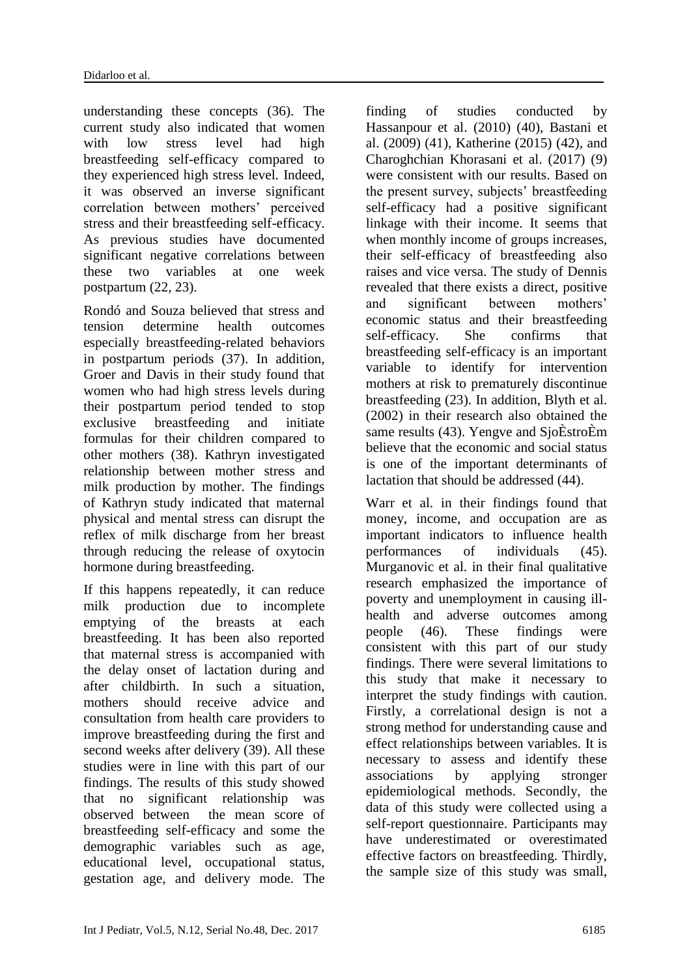understanding these concepts (36). The current study also indicated that women with low stress level had high breastfeeding self-efficacy compared to they experienced high stress level. Indeed, it was observed an inverse significant correlation between mothers' perceived stress and their breastfeeding self-efficacy. As previous studies have documented significant negative correlations between these two variables at one week postpartum (22, 23).

Rondó and Souza believed that stress and tension determine health outcomes especially breastfeeding-related behaviors in postpartum periods (37). In addition, Groer and Davis in their study found that women who had high stress levels during their postpartum period tended to stop exclusive breastfeeding and initiate formulas for their children compared to other mothers (38). Kathryn investigated relationship between mother stress and milk production by mother. The findings of Kathryn study indicated that maternal physical and mental stress can disrupt the reflex of milk discharge from her breast through reducing the release of oxytocin hormone during breastfeeding.

If this happens repeatedly, it can reduce milk production due to incomplete emptying of the breasts at each breastfeeding. It has been also reported that maternal stress is accompanied with the delay onset of lactation during and after childbirth. In such a situation, mothers should receive advice and consultation from health care providers to improve breastfeeding during the first and second weeks after delivery (39). All these studies were in line with this part of our findings. The results of this study showed that no significant relationship was observed between the mean score of breastfeeding self-efficacy and some the demographic variables such as age, educational level, occupational status, gestation age, and delivery mode. The

finding of studies conducted by Hassanpour et al. (2010) (40), Bastani et al. (2009) (41), Katherine (2015) (42), and Charoghchian Khorasani et al. (2017) (9) were consistent with our results. Based on the present survey, subjects' breastfeeding self-efficacy had a positive significant linkage with their income. It seems that when monthly income of groups increases, their self-efficacy of breastfeeding also raises and vice versa. The study of Dennis revealed that there exists a direct, positive and significant between mothers' economic status and their breastfeeding self-efficacy. She confirms that breastfeeding self-efficacy is an important variable to identify for intervention mothers at risk to prematurely discontinue breastfeeding (23). In addition, Blyth et al. (2002) in their research also obtained the same results (43). Yengve and SjoÈstroÈm believe that the economic and social status is one of the important determinants of lactation that should be addressed (44).

Warr et al. in their findings found that money, income, and occupation are as important indicators to influence health performances of individuals (45). Murganovic et al. in their final qualitative research emphasized the importance of poverty and unemployment in causing illhealth and adverse outcomes among people (46). These findings were consistent with this part of our study findings. There were several limitations to this study that make it necessary to interpret the study findings with caution. Firstly, a correlational design is not a strong method for understanding cause and effect relationships between variables. It is necessary to assess and identify these associations by applying stronger epidemiological methods. Secondly, the data of this study were collected using a self-report questionnaire. Participants may have underestimated or overestimated effective factors on breastfeeding. Thirdly, the sample size of this study was small,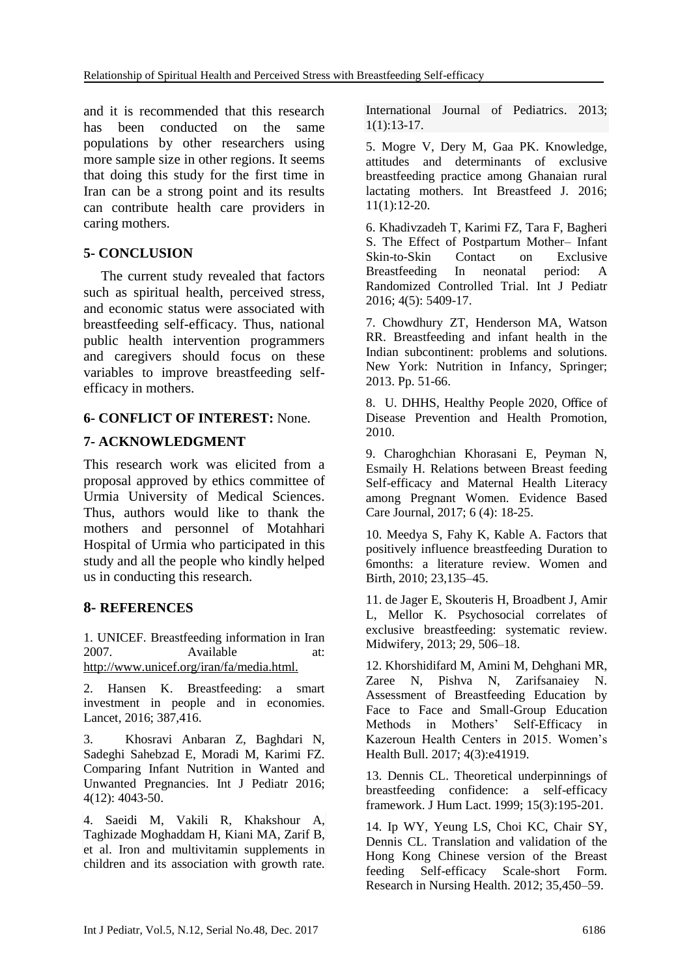and it is recommended that this research has been conducted on the same populations by other researchers using more sample size in other regions. It seems that doing this study for the first time in Iran can be a strong point and its results can contribute health care providers in caring mothers.

## **5- CONCLUSION**

 The current study revealed that factors such as spiritual health, perceived stress, and economic status were associated with breastfeeding self-efficacy. Thus, national public health intervention programmers and caregivers should focus on these variables to improve breastfeeding selfefficacy in mothers.

## **6- CONFLICT OF INTEREST:** None.

## **7- ACKNOWLEDGMENT**

This research work was elicited from a proposal approved by ethics committee of Urmia University of Medical Sciences. Thus, authors would like to thank the mothers and personnel of Motahhari Hospital of Urmia who participated in this study and all the people who kindly helped us in conducting this research.

## **8- REFERENCES**

1. UNICEF. Breastfeeding information in Iran 2007. Available at: http://www.unicef.org/iran/fa/media.html.

2. Hansen K. Breastfeeding: a smart investment in people and in economies. Lancet, 2016; 387,416.

3. Khosravi Anbaran Z, Baghdari N, Sadeghi Sahebzad E, Moradi M, Karimi FZ. Comparing Infant Nutrition in Wanted and Unwanted Pregnancies. Int J Pediatr 2016; 4(12): 4043-50.

4. [Saeidi M,](https://www.scopus.com/authid/detail.uri?authorId=55927110500&eid=2-s2.0-85006924985) [Vakili R,](https://www.scopus.com/authid/detail.uri?authorId=55966390700&eid=2-s2.0-85006924985) [Khakshour A,](https://www.scopus.com/authid/detail.uri?authorId=55550328600&eid=2-s2.0-85006924985)  Taghizade [Moghaddam](https://www.scopus.com/authid/detail.uri?authorId=57192586132&eid=2-s2.0-85006924985) H, [Kiani MA,](https://www.scopus.com/authid/detail.uri?authorId=54683993700&eid=2-s2.0-85006924985) [Zarif B,](https://www.scopus.com/authid/detail.uri?authorId=57192586817&eid=2-s2.0-85006924985) et al. Iron and multivitamin supplements in children and its association with growth rate. [International Journal of Pediatrics.](https://www.scopus.com/sourceid/21100790061?origin=recordpage) 2013;  $1(1):13-17.$ 

5. Mogre V, Dery M, Gaa PK. Knowledge, attitudes and determinants of exclusive breastfeeding practice among Ghanaian rural lactating mothers. Int Breastfeed J. 2016; 11(1):12-20.

6. Khadivzadeh T, Karimi FZ, Tara F, Bagheri S. The Effect of Postpartum Mother– Infant Skin-to-Skin Contact on Exclusive Breastfeeding In neonatal period: A Randomized Controlled Trial. Int J Pediatr 2016; 4(5): 5409-17.

7. Chowdhury ZT, Henderson MA, Watson RR. Breastfeeding and infant health in the Indian subcontinent: problems and solutions. New York: Nutrition in Infancy, Springer; 2013. Pp. 51-66.

8. U. DHHS, Healthy People 2020, Office of Disease Prevention and Health Promotion, 2010.

9. Charoghchian Khorasani E, Peyman N, Esmaily H. Relations between Breast feeding Self-efficacy and Maternal Health Literacy among Pregnant Women. Evidence Based Care Journal, 2017; 6 (4): 18-25.

10. Meedya S, Fahy K, Kable A. Factors that positively influence breastfeeding Duration to 6months: a literature review. Women and Birth, 2010; 23,135–45.

11. de Jager E, Skouteris H, Broadbent J, Amir L, Mellor K. Psychosocial correlates of exclusive breastfeeding: systematic review. Midwifery, 2013; 29, 506–18.

12. Khorshidifard M, Amini M, Dehghani MR, Zaree N, Pishva N, Zarifsanaiey N. Assessment of Breastfeeding Education by Face to Face and Small-Group Education Methods in Mothers' Self-Efficacy in Kazeroun Health Centers in 2015. Women's Health Bull. 2017; 4(3):e41919.

13. Dennis CL. Theoretical underpinnings of breastfeeding confidence: a self-efficacy framework. J Hum Lact. 1999; 15(3):195-201.

14. Ip WY, Yeung LS, Choi KC, Chair SY, Dennis CL. Translation and validation of the Hong Kong Chinese version of the Breast feeding Self-efficacy Scale-short Form. Research in Nursing Health. 2012; 35,450–59.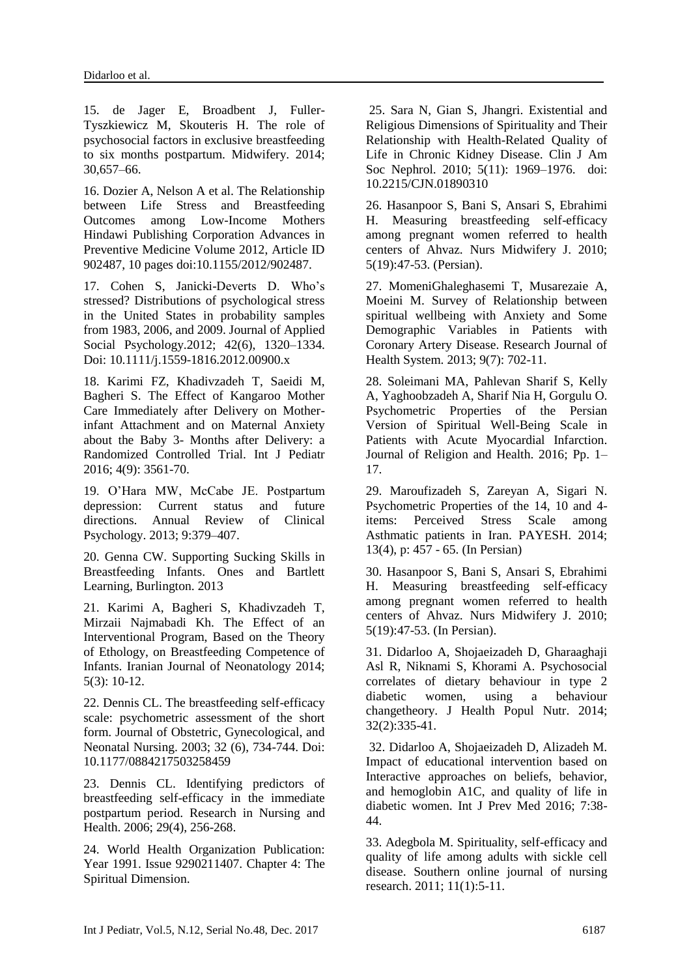15. de Jager E, Broadbent J, Fuller-Tyszkiewicz M, Skouteris H. The role of psychosocial factors in exclusive breastfeeding to six months postpartum. Midwifery. 2014; 30,657–66.

16. Dozier A, Nelson A et al. The Relationship between Life Stress and Breastfeeding Outcomes among Low-Income Mothers Hindawi Publishing Corporation Advances in Preventive Medicine Volume 2012, Article ID 902487, 10 pages doi:10.1155/2012/902487.

17. Cohen S, Janicki-Deverts D. Who's stressed? Distributions of psychological stress in the United States in probability samples from 1983, 2006, and 2009. Journal of Applied Social Psychology.2012; 42(6), 1320–1334. Doi: 10.1111/j.1559-1816.2012.00900.x

18. Karimi FZ, Khadivzadeh T, Saeidi M, Bagheri S. The Effect of Kangaroo Mother Care Immediately after Delivery on Motherinfant Attachment and on Maternal Anxiety about the Baby 3- Months after Delivery: a Randomized Controlled Trial. Int J Pediatr 2016; 4(9): 3561-70.

19. O'Hara MW, McCabe JE. Postpartum depression: Current status and future directions. Annual Review of Clinical Psychology. 2013; 9:379–407.

20. Genna CW. Supporting Sucking Skills in Breastfeeding Infants. Ones and Bartlett Learning, Burlington. 2013

21. Karimi A, Bagheri S, Khadivzadeh T, Mirzaii Najmabadi Kh. The Effect of an Interventional Program, Based on the Theory of Ethology, on Breastfeeding Competence of Infants. Iranian Journal of Neonatology 2014;  $5(3): 10-12.$ 

22. Dennis CL. The breastfeeding self-efficacy scale: psychometric assessment of the short form. Journal of Obstetric, Gynecological, and Neonatal Nursing. 2003; 32 (6), 734-744. Doi: 10.1177/0884217503258459

23. Dennis CL. Identifying predictors of breastfeeding self-efficacy in the immediate postpartum period. Research in Nursing and Health. 2006; 29(4), 256-268.

24. World Health Organization Publication: Year 1991. Issue 9290211407. Chapter 4: The Spiritual Dimension.

25. Sara N, Gian S, Jhangri. Existential and Religious Dimensions of Spirituality and Their Relationship with Health-Related Quality of Life in Chronic Kidney Disease. Clin J Am Soc Nephrol. 2010; 5(11): 1969–1976. doi: 10.2215/CJN.01890310

26. Hasanpoor S, Bani S, Ansari S, Ebrahimi H. Measuring breastfeeding self-efficacy among pregnant women referred to health centers of Ahvaz. Nurs Midwifery J. 2010; 5(19):47-53. (Persian).

27. MomeniGhaleghasemi T, Musarezaie A, Moeini M. Survey of Relationship between spiritual wellbeing with Anxiety and Some Demographic Variables in Patients with Coronary Artery Disease. Research Journal of Health System. 2013; 9(7): 702-11.

28. Soleimani MA, Pahlevan Sharif S, Kelly A, Yaghoobzadeh A, Sharif Nia H, Gorgulu O. Psychometric Properties of the Persian Version of Spiritual Well-Being Scale in Patients with Acute Myocardial Infarction. Journal of Religion and Health. 2016; Pp. 1– 17.

29. Maroufizadeh S, Zareyan A, Sigari N. Psychometric Properties of the 14, 10 and 4 items: Perceived Stress Scale among Asthmatic patients in Iran. PAYESH. 2014; 13(4), p: 457 - 65. (In Persian)

30. Hasanpoor S, Bani S, Ansari S, Ebrahimi H. Measuring breastfeeding self-efficacy among pregnant women referred to health centers of Ahvaz. Nurs Midwifery J. 2010; 5(19):47-53. (In Persian).

31. Didarloo A, Shojaeizadeh D, Gharaaghaji Asl R, Niknami S, Khorami A. Psychosocial correlates of dietary behaviour in type 2 diabetic women, using a behaviour changetheory. J Health Popul Nutr. 2014; 32(2):335-41.

32. Didarloo A, Shojaeizadeh D, Alizadeh M. Impact of educational intervention based on Interactive approaches on beliefs, behavior, and hemoglobin A1C, and quality of life in diabetic women. Int J Prev Med 2016; 7:38- 44.

33. Adegbola M. Spirituality, self-efficacy and quality of life among adults with sickle cell disease. Southern online journal of nursing research. 2011; 11(1):5-11.